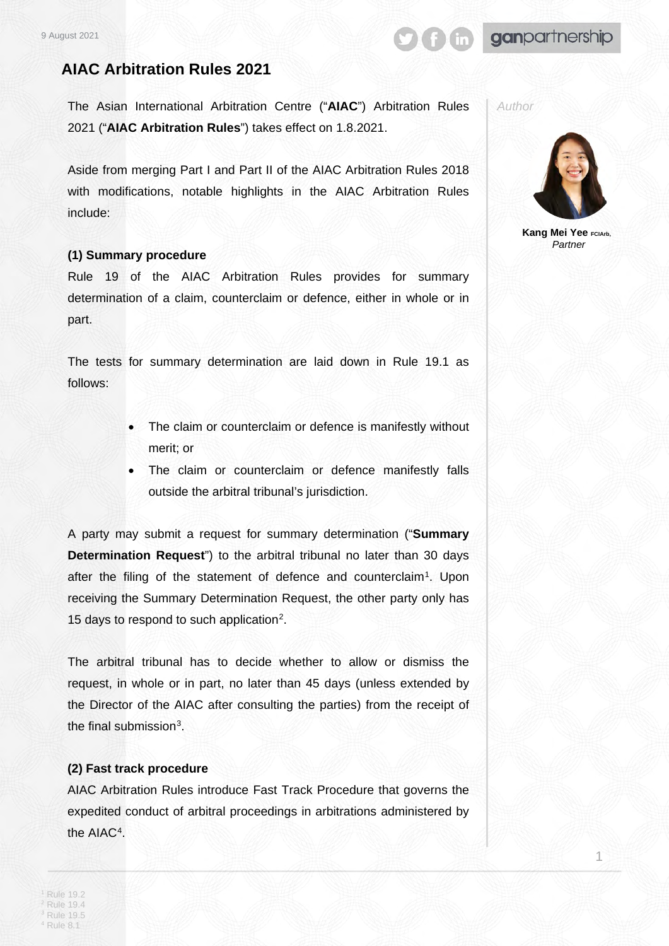# ganpartnership

# **AIAC Arbitration Rules 2021**

The Asian International Arbitration Centre ("**AIAC**") Arbitration Rules 2021 ("**AIAC Arbitration Rules**") takes effect on 1.8.2021.

Aside from merging Part I and Part II of the AIAC Arbitration Rules 2018 with modifications, notable highlights in the AIAC Arbitration Rules include:

### **(1) Summary procedure**

Rule 19 of the AIAC Arbitration Rules provides for summary determination of a claim, counterclaim or defence, either in whole or in part.

The tests for summary determination are laid down in Rule 19.1 as follows:

- The claim or counterclaim or defence is manifestly without merit; or
- The claim or counterclaim or defence manifestly falls outside the arbitral tribunal's jurisdiction.

A party may submit a request for summary determination ("**Summary Determination Request**") to the arbitral tribunal no later than 30 days after the filing of the statement of defence and counterclaim<sup>[1](#page-0-0)</sup>. Upon receiving the Summary Determination Request, the other party only has 15 days to respond to such application[2](#page-0-1).

The arbitral tribunal has to decide whether to allow or dismiss the request, in whole or in part, no later than 45 days (unless extended by the Director of the AIAC after consulting the parties) from the receipt of the final submission[3](#page-0-2).

# **(2) Fast track procedure**

<span id="page-0-3"></span><span id="page-0-2"></span><span id="page-0-1"></span><span id="page-0-0"></span>AIAC Arbitration Rules introduce Fast Track Procedure that governs the expedited conduct of arbitral proceedings in arbitrations administered by the AIAC[4.](#page-0-3)

*Author*



**Kang Mei Yee FCIArb,** *Partner*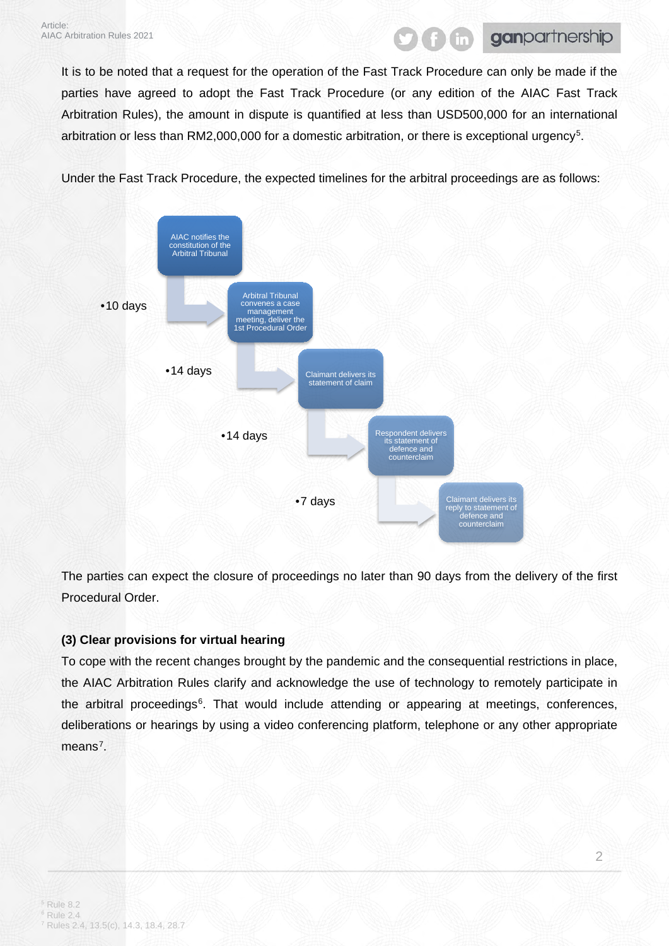# ganpartnership

It is to be noted that a request for the operation of the Fast Track Procedure can only be made if the parties have agreed to adopt the Fast Track Procedure (or any edition of the AIAC Fast Track Arbitration Rules), the amount in dispute is quantified at less than USD500,000 for an international arbitration or less than RM2,000,000 for a domestic arbitration, or there is exceptional urgency<sup>5</sup>.

Under the Fast Track Procedure, the expected timelines for the arbitral proceedings are as follows:



The parties can expect the closure of proceedings no later than 90 days from the delivery of the first Procedural Order.

# **(3) Clear provisions for virtual hearing**

<span id="page-1-2"></span><span id="page-1-1"></span><span id="page-1-0"></span>To cope with the recent changes brought by the pandemic and the consequential restrictions in place, the AIAC Arbitration Rules clarify and acknowledge the use of technology to remotely participate in the arbitral proceedings<sup>[6](#page-1-1)</sup>. That would include attending or appearing at meetings, conferences, deliberations or hearings by using a video conferencing platform, telephone or any other appropriate means<sup>[7](#page-1-2)</sup>.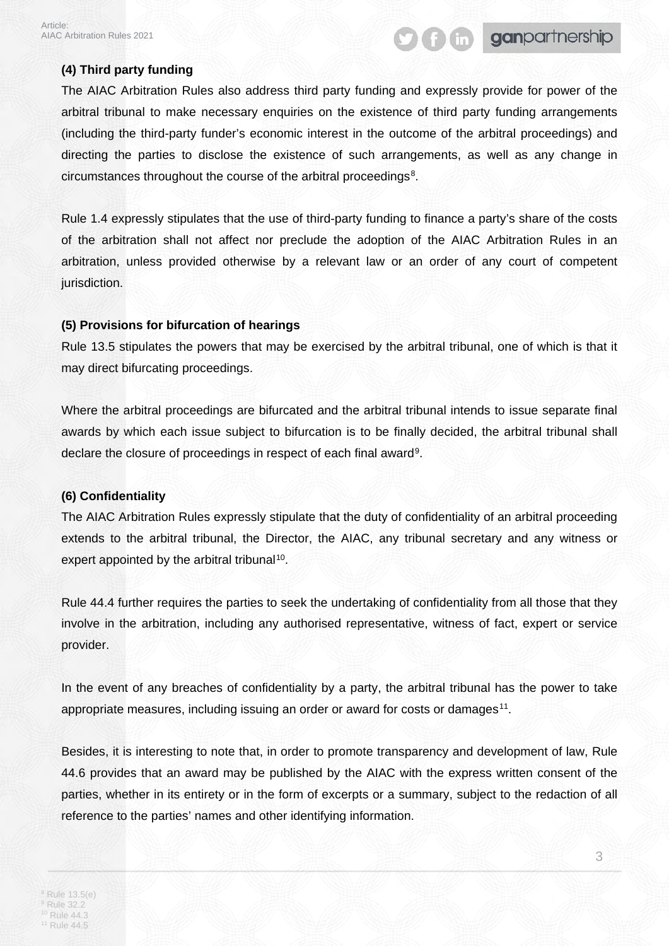# **(4) Third party funding**

The AIAC Arbitration Rules also address third party funding and expressly provide for power of the arbitral tribunal to make necessary enquiries on the existence of third party funding arrangements (including the third-party funder's economic interest in the outcome of the arbitral proceedings) and directing the parties to disclose the existence of such arrangements, as well as any change in circumstances throughout the course of the arbitral proceedings<sup>8</sup>.

**Gonpartnership** 

Rule 1.4 expressly stipulates that the use of third-party funding to finance a party's share of the costs of the arbitration shall not affect nor preclude the adoption of the AIAC Arbitration Rules in an arbitration, unless provided otherwise by a relevant law or an order of any court of competent jurisdiction.

# **(5) Provisions for bifurcation of hearings**

Rule 13.5 stipulates the powers that may be exercised by the arbitral tribunal, one of which is that it may direct bifurcating proceedings.

Where the arbitral proceedings are bifurcated and the arbitral tribunal intends to issue separate final awards by which each issue subject to bifurcation is to be finally decided, the arbitral tribunal shall declare the closure of proceedings in respect of each final award<sup>[9](#page-2-1)</sup>.

#### **(6) Confidentiality**

The AIAC Arbitration Rules expressly stipulate that the duty of confidentiality of an arbitral proceeding extends to the arbitral tribunal, the Director, the AIAC, any tribunal secretary and any witness or expert appointed by the arbitral tribunal<sup>10</sup>.

Rule 44.4 further requires the parties to seek the undertaking of confidentiality from all those that they involve in the arbitration, including any authorised representative, witness of fact, expert or service provider.

In the event of any breaches of confidentiality by a party, the arbitral tribunal has the power to take appropriate measures, including issuing an order or award for costs or damages<sup>[11](#page-2-3)</sup>.

<span id="page-2-3"></span><span id="page-2-2"></span><span id="page-2-1"></span><span id="page-2-0"></span>Besides, it is interesting to note that, in order to promote transparency and development of law, Rule 44.6 provides that an award may be published by the AIAC with the express written consent of the parties, whether in its entirety or in the form of excerpts or a summary, subject to the redaction of all reference to the parties' names and other identifying information.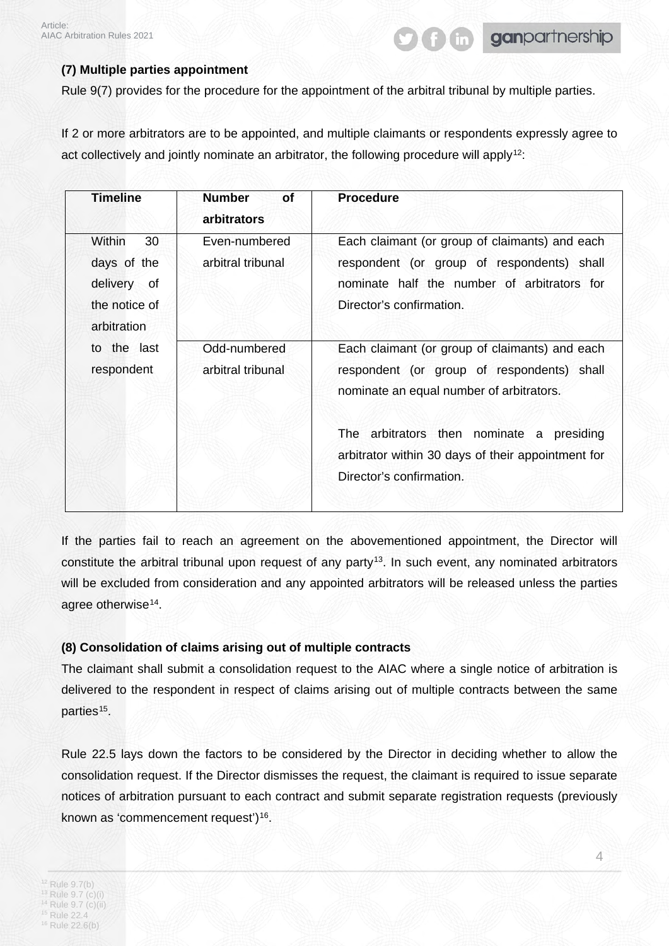# **(7) Multiple parties appointment**

Rule 9(7) provides for the procedure for the appointment of the arbitral tribunal by multiple parties.

If 2 or more arbitrators are to be appointed, and multiple claimants or respondents expressly agree to act collectively and jointly nominate an arbitrator, the following procedure will apply<sup>12</sup>:

| Timeline                                                                   | <b>Number</b><br><b>of</b><br><b>arbitrators</b> | <b>Procedure</b>                                                                                                                                                        |
|----------------------------------------------------------------------------|--------------------------------------------------|-------------------------------------------------------------------------------------------------------------------------------------------------------------------------|
| Within<br>30<br>days of the<br>delivery of<br>the notice of<br>arbitration | Even-numbered<br>arbitral tribunal               | Each claimant (or group of claimants) and each<br>respondent (or group of respondents) shall<br>nominate half the number of arbitrators for<br>Director's confirmation. |
| to the last<br>respondent                                                  | Odd-numbered<br>arbitral tribunal                | Each claimant (or group of claimants) and each<br>respondent (or group of respondents) shall<br>nominate an equal number of arbitrators.                                |
|                                                                            |                                                  | The arbitrators then nominate a<br>presiding<br>arbitrator within 30 days of their appointment for<br>Director's confirmation.                                          |

If the parties fail to reach an agreement on the abovementioned appointment, the Director will constitute the arbitral tribunal upon request of any party<sup>13</sup>. In such event, any nominated arbitrators will be excluded from consideration and any appointed arbitrators will be released unless the parties agree otherwise<sup>[14](#page-3-2)</sup>.

# **(8) Consolidation of claims arising out of multiple contracts**

The claimant shall submit a consolidation request to the AIAC where a single notice of arbitration is delivered to the respondent in respect of claims arising out of multiple contracts between the same parties<sup>15</sup>.

<span id="page-3-4"></span><span id="page-3-3"></span><span id="page-3-2"></span><span id="page-3-1"></span><span id="page-3-0"></span>Rule 22.5 lays down the factors to be considered by the Director in deciding whether to allow the consolidation request. If the Director dismisses the request, the claimant is required to issue separate notices of arbitration pursuant to each contract and submit separate registration requests (previously known as 'commencement request')<sup>[16](#page-3-4)</sup>.